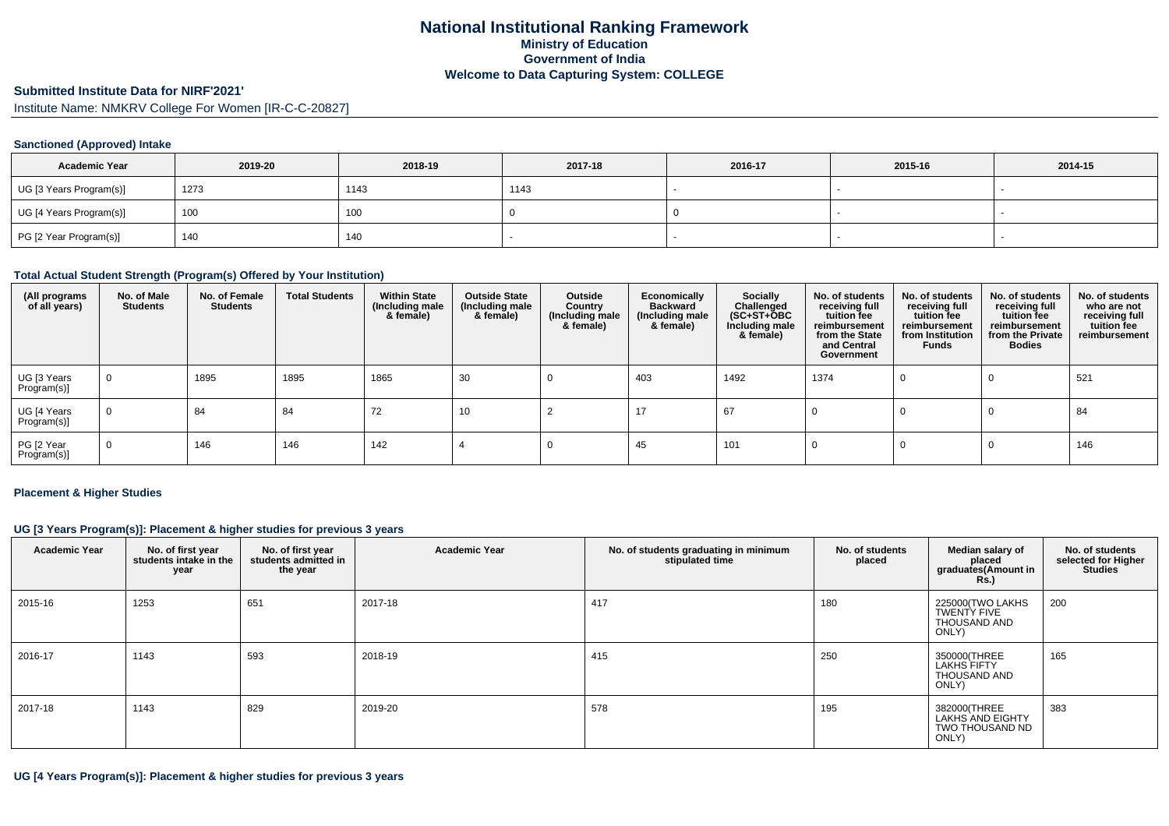#### **Submitted Institute Data for NIRF'2021'**

Institute Name: NMKRV College For Women [IR-C-C-20827]

## **Sanctioned (Approved) Intake**

| <b>Academic Year</b>    | 2019-20 | 2018-19 | 2017-18 | 2016-17 | 2015-16 | 2014-15 |
|-------------------------|---------|---------|---------|---------|---------|---------|
| UG [3 Years Program(s)] | 1273    | 1143    | 1143    |         |         |         |
| UG [4 Years Program(s)] | 100     | 100     |         |         |         |         |
| PG [2 Year Program(s)]  | 140     | 140     |         |         |         |         |

## **Total Actual Student Strength (Program(s) Offered by Your Institution)**

| (All programs<br>of all years) | No. of Male<br><b>Students</b> | No. of Female<br>Students | <b>Total Students</b> | <b>Within State</b><br>(Including male<br>& female) | <b>Outside State</b><br>(Including male<br>& female) | Outside<br>Country<br>(Including male<br>& female) | Economically<br><b>Backward</b><br>(Including male<br>& female) | <b>Socially</b><br>Challenged<br>$(SC+ST+\textcolor{blue}{\bullet}BC$<br>Including male<br>& female) | No. of students<br>receiving full<br>tuition fee<br>reimbursement<br>from the State<br>and Central<br>Government | No. of students<br>receiving full<br>tuition fee<br>reimbursement<br>from Institution<br>Funds | No. of students<br>receiving full<br>tuition fee<br>reimbursement<br>from the Private<br><b>Bodies</b> | No. of students<br>who are not<br>receiving full<br>tuition fee<br>reimbursement |
|--------------------------------|--------------------------------|---------------------------|-----------------------|-----------------------------------------------------|------------------------------------------------------|----------------------------------------------------|-----------------------------------------------------------------|------------------------------------------------------------------------------------------------------|------------------------------------------------------------------------------------------------------------------|------------------------------------------------------------------------------------------------|--------------------------------------------------------------------------------------------------------|----------------------------------------------------------------------------------|
| UG [3 Years<br>Program(s)]     | 0                              | 1895                      | 1895                  | 1865                                                | 30                                                   |                                                    | 403                                                             | 1492                                                                                                 | 1374                                                                                                             |                                                                                                |                                                                                                        | 521                                                                              |
| UG [4 Years<br>$Program(s)$ ]  | $\mathbf 0$                    | 84                        | 84                    | 72                                                  | 10                                                   |                                                    | 17                                                              | 67                                                                                                   |                                                                                                                  |                                                                                                | - U                                                                                                    | 84                                                                               |
| PG [2 Year<br>Program(s)]      | 0                              | 146                       | 146                   | 142                                                 |                                                      |                                                    | 45                                                              | 101                                                                                                  |                                                                                                                  |                                                                                                |                                                                                                        | 146                                                                              |

#### **Placement & Higher Studies**

## **UG [3 Years Program(s)]: Placement & higher studies for previous 3 years**

| <b>Academic Year</b> | No. of first year<br>students intake in the<br>year | No. of first year<br>students admitted in<br>the year | <b>Academic Year</b> | No. of students graduating in minimum<br>stipulated time | No. of students<br>placed | Median salary of<br>placed<br>graduates(Amount in<br><b>Rs.)</b> | No. of students<br>selected for Higher<br><b>Studies</b> |
|----------------------|-----------------------------------------------------|-------------------------------------------------------|----------------------|----------------------------------------------------------|---------------------------|------------------------------------------------------------------|----------------------------------------------------------|
| 2015-16              | 1253                                                | 651                                                   | 2017-18              | 417                                                      | 180                       | 225000(TWO LAKHS<br>TWENTY FIVE<br>THOUSAND AND<br>ONLY)         | 200                                                      |
| 2016-17              | 1143                                                | 593                                                   | 2018-19              | 415                                                      | 250                       | 350000(THREE<br><b>LAKHS FIFTY</b><br>THOUSAND AND<br>ONLY)      | 165                                                      |
| 2017-18              | 1143                                                | 829                                                   | 2019-20              | 578                                                      | 195                       | 382000(THREE<br>LAKHS AND EIGHTY<br>TWO THOUSAND ND<br>ONLY)     | 383                                                      |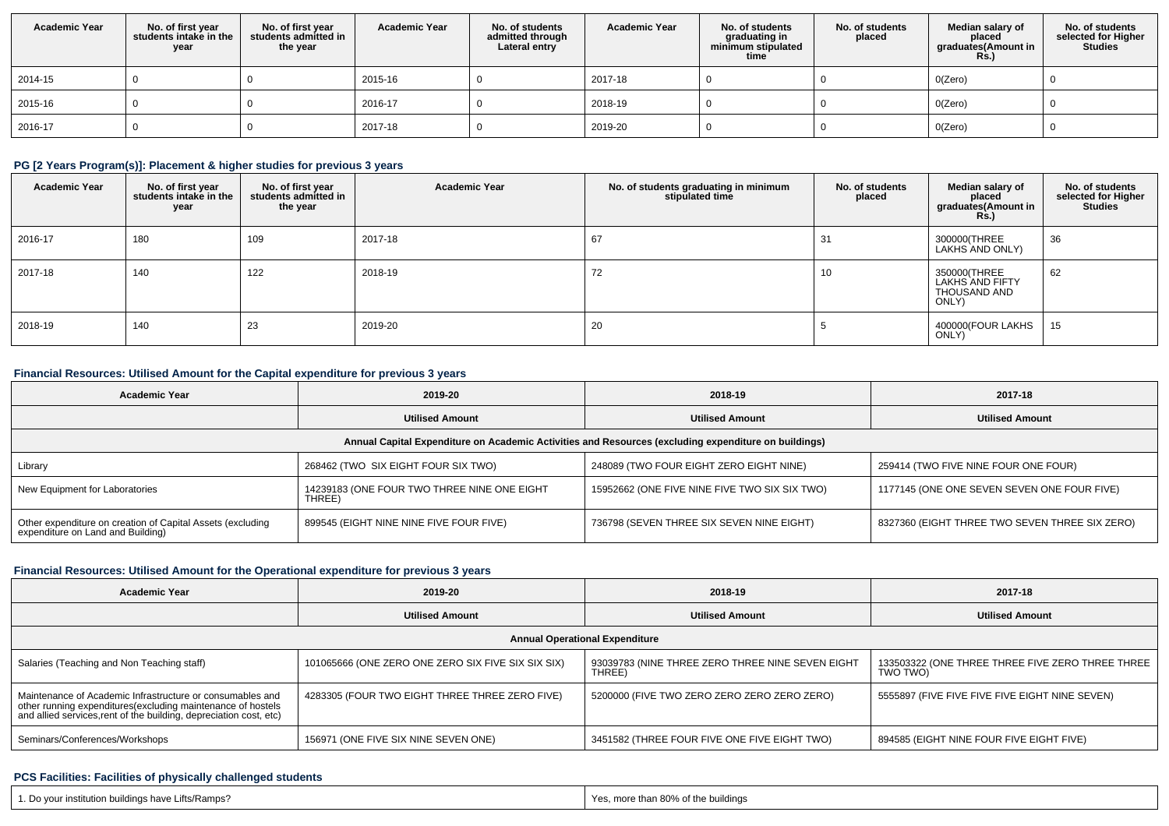| <b>Academic Year</b> | No. of first year<br>students intake in the<br>year | No. of first vear<br>students admitted in<br>the year | <b>Academic Year</b> | No. of students<br>admitted through<br>Lateral entry | <b>Academic Year</b> | No. of students<br>graduating in<br>minimum stipulated<br>time | No. of students<br>placed | Median salary of<br>placed<br>graduates(Amount in<br><b>Rs.)</b> | No. of students<br>selected for Higher<br><b>Studies</b> |
|----------------------|-----------------------------------------------------|-------------------------------------------------------|----------------------|------------------------------------------------------|----------------------|----------------------------------------------------------------|---------------------------|------------------------------------------------------------------|----------------------------------------------------------|
| 2014-15              |                                                     |                                                       | 2015-16              |                                                      | 2017-18              |                                                                |                           | O(Zero)                                                          |                                                          |
| 2015-16              |                                                     |                                                       | 2016-17              |                                                      | 2018-19              |                                                                |                           | O(Zero)                                                          |                                                          |
| 2016-17              |                                                     |                                                       | 2017-18              |                                                      | 2019-20              |                                                                |                           | O(Zero)                                                          |                                                          |

## **PG [2 Years Program(s)]: Placement & higher studies for previous 3 years**

| <b>Academic Year</b> | No. of first year<br>students intake in the<br>year | No. of first year<br>students admitted in<br>the year | <b>Academic Year</b> | No. of students graduating in minimum<br>stipulated time | No. of students<br>placed | Median salary of<br>placed<br>graduates(Amount in<br><b>Rs.)</b> | No. of students<br>selected for Higher<br><b>Studies</b> |
|----------------------|-----------------------------------------------------|-------------------------------------------------------|----------------------|----------------------------------------------------------|---------------------------|------------------------------------------------------------------|----------------------------------------------------------|
| 2016-17              | 180                                                 | 109                                                   | 2017-18              | 67                                                       | 31                        | 300000(THREE<br>LAKHS AND ONLY)                                  | 36                                                       |
| 2017-18              | 140                                                 | 122                                                   | 2018-19              | 72                                                       | 10                        | 350000(THREE<br>LAKHS AND FIFTY<br>THOUSAND AND<br>ONLY)         | 62                                                       |
| 2018-19              | 140                                                 | 23                                                    | 2019-20              | 20                                                       |                           | 400000(FOUR LAKHS<br>ONLY)                                       | 15                                                       |

## **Financial Resources: Utilised Amount for the Capital expenditure for previous 3 years**

| <b>Academic Year</b>                                                                                 | 2019-20                                               | 2018-19                                       | 2017-18                                        |  |  |  |  |  |  |  |  |  |
|------------------------------------------------------------------------------------------------------|-------------------------------------------------------|-----------------------------------------------|------------------------------------------------|--|--|--|--|--|--|--|--|--|
|                                                                                                      | <b>Utilised Amount</b>                                | <b>Utilised Amount</b>                        | <b>Utilised Amount</b>                         |  |  |  |  |  |  |  |  |  |
| Annual Capital Expenditure on Academic Activities and Resources (excluding expenditure on buildings) |                                                       |                                               |                                                |  |  |  |  |  |  |  |  |  |
| Library                                                                                              | 268462 (TWO SIX EIGHT FOUR SIX TWO)                   | 248089 (TWO FOUR EIGHT ZERO EIGHT NINE)       | 259414 (TWO FIVE NINE FOUR ONE FOUR)           |  |  |  |  |  |  |  |  |  |
| New Equipment for Laboratories                                                                       | 14239183 (ONE FOUR TWO THREE NINE ONE EIGHT<br>THREE) | 15952662 (ONE FIVE NINE FIVE TWO SIX SIX TWO) | 1177145 (ONE ONE SEVEN SEVEN ONE FOUR FIVE)    |  |  |  |  |  |  |  |  |  |
| Other expenditure on creation of Capital Assets (excluding<br>expenditure on Land and Building)      | 899545 (EIGHT NINE NINE FIVE FOUR FIVE)               | 736798 (SEVEN THREE SIX SEVEN NINE EIGHT)     | 8327360 (EIGHT THREE TWO SEVEN THREE SIX ZERO) |  |  |  |  |  |  |  |  |  |

# **Financial Resources: Utilised Amount for the Operational expenditure for previous 3 years**

| <b>Academic Year</b>                                                                                                                                                                           | 2019-20                                            | 2018-19                                                    | 2017-18                                                      |  |  |  |  |  |  |  |  |  |
|------------------------------------------------------------------------------------------------------------------------------------------------------------------------------------------------|----------------------------------------------------|------------------------------------------------------------|--------------------------------------------------------------|--|--|--|--|--|--|--|--|--|
|                                                                                                                                                                                                | <b>Utilised Amount</b>                             | <b>Utilised Amount</b>                                     | <b>Utilised Amount</b>                                       |  |  |  |  |  |  |  |  |  |
| <b>Annual Operational Expenditure</b>                                                                                                                                                          |                                                    |                                                            |                                                              |  |  |  |  |  |  |  |  |  |
| Salaries (Teaching and Non Teaching staff)                                                                                                                                                     | 101065666 (ONE ZERO ONE ZERO SIX FIVE SIX SIX SIX) | 93039783 (NINE THREE ZERO THREE NINE SEVEN EIGHT<br>THREE) | 133503322 (ONE THREE THREE FIVE ZERO THREE THREE<br>TWO TWO) |  |  |  |  |  |  |  |  |  |
| Maintenance of Academic Infrastructure or consumables and<br>other running expenditures(excluding maintenance of hostels<br>and allied services, rent of the building, depreciation cost, etc) | 4283305 (FOUR TWO EIGHT THREE THREE ZERO FIVE)     | 5200000 (FIVE TWO ZERO ZERO ZERO ZERO ZERO)                | 5555897 (FIVE FIVE FIVE FIVE EIGHT NINE SEVEN)               |  |  |  |  |  |  |  |  |  |
| Seminars/Conferences/Workshops                                                                                                                                                                 | 156971 (ONE FIVE SIX NINE SEVEN ONE)               | 3451582 (THREE FOUR FIVE ONE FIVE EIGHT TWO)               | 894585 (EIGHT NINE FOUR FIVE EIGHT FIVE)                     |  |  |  |  |  |  |  |  |  |

## **PCS Facilities: Facilities of physically challenged students**

| 1. Do your institution buildings have Lifts/Ramps? | Yes, more than 80% of the buildings<br>the contract of the contract of the contract of the contract of the contract of the contract of the contract of |
|----------------------------------------------------|--------------------------------------------------------------------------------------------------------------------------------------------------------|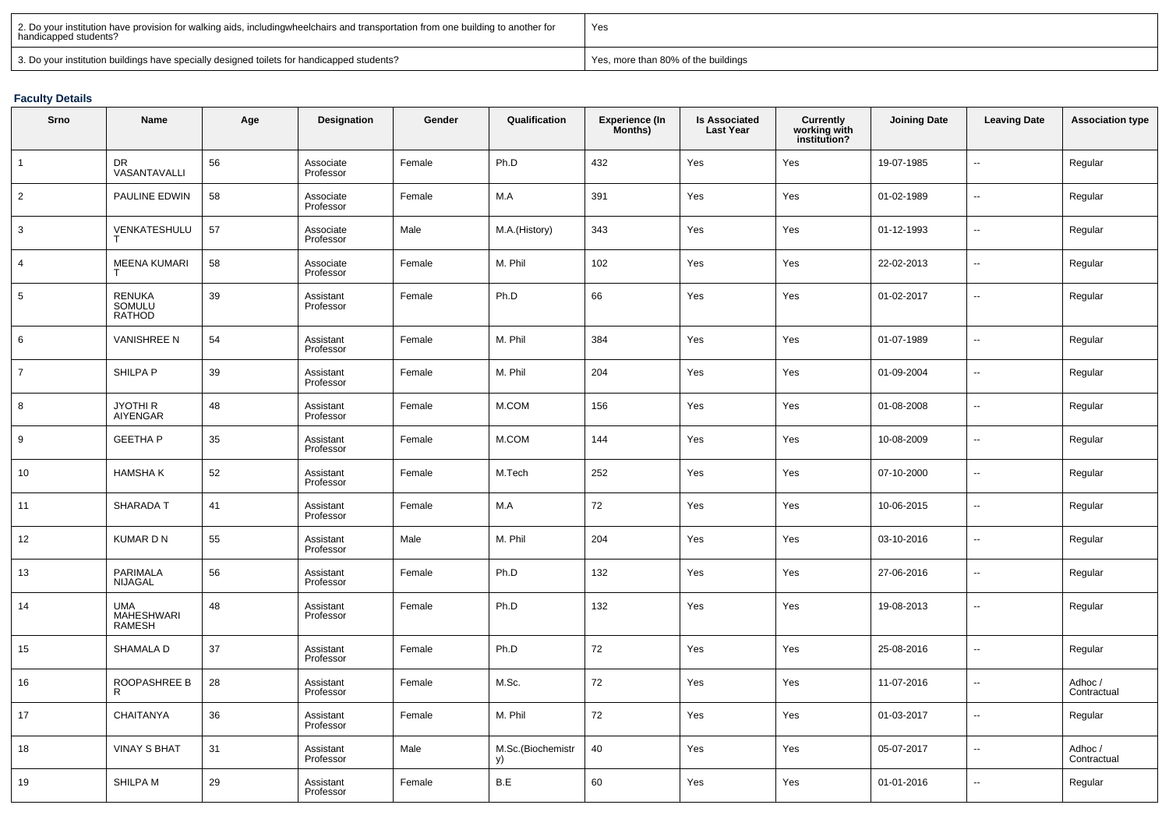| 2. Do your institution have provision for walking aids, includingwheelchairs and transportation from one building to another for<br>handicapped students? | Yes                                 |
|-----------------------------------------------------------------------------------------------------------------------------------------------------------|-------------------------------------|
| 3. Do your institution buildings have specially designed toilets for handicapped students?                                                                | Yes, more than 80% of the buildings |

## **Faculty Details**

| Srno           | Name                               | Age | Designation            | Gender | Qualification           | <b>Experience (In</b><br>Months) | <b>Is Associated</b><br><b>Last Year</b> | <b>Currently<br/>working with<br/>institution?</b> | <b>Joining Date</b> | <b>Leaving Date</b> | <b>Association type</b> |
|----------------|------------------------------------|-----|------------------------|--------|-------------------------|----------------------------------|------------------------------------------|----------------------------------------------------|---------------------|---------------------|-------------------------|
| $\overline{1}$ | DR.<br>VASANTAVALLI                | 56  | Associate<br>Professor | Female | Ph.D                    | 432                              | Yes                                      | Yes                                                | 19-07-1985          | u.                  | Regular                 |
| $\overline{2}$ | PAULINE EDWIN                      | 58  | Associate<br>Professor | Female | M.A                     | 391                              | Yes                                      | Yes                                                | 01-02-1989          | u.                  | Regular                 |
| 3              | VENKATESHULU                       | 57  | Associate<br>Professor | Male   | M.A.(History)           | 343                              | Yes                                      | Yes                                                | 01-12-1993          | $\overline{a}$      | Regular                 |
| $\overline{4}$ | <b>MEENA KUMARI</b><br>т           | 58  | Associate<br>Professor | Female | M. Phil                 | 102                              | Yes                                      | Yes                                                | 22-02-2013          | ш,                  | Regular                 |
| $\,$ 5 $\,$    | RENUKA<br>SOMULU<br><b>RATHOD</b>  | 39  | Assistant<br>Professor | Female | Ph.D                    | 66                               | Yes                                      | Yes                                                | 01-02-2017          | u.                  | Regular                 |
| 6              | <b>VANISHREE N</b>                 | 54  | Assistant<br>Professor | Female | M. Phil                 | 384                              | Yes                                      | Yes                                                | 01-07-1989          | ш,                  | Regular                 |
| $\overline{7}$ | SHILPA P                           | 39  | Assistant<br>Professor | Female | M. Phil                 | 204                              | Yes                                      | Yes                                                | 01-09-2004          | ш,                  | Regular                 |
| 8              | JYOTHI R<br>AIYENGAR               | 48  | Assistant<br>Professor | Female | M.COM                   | 156                              | Yes                                      | Yes                                                | 01-08-2008          | ш,                  | Regular                 |
| 9              | <b>GEETHA P</b>                    | 35  | Assistant<br>Professor | Female | M.COM                   | 144                              | Yes                                      | Yes                                                | 10-08-2009          | $\overline{a}$      | Regular                 |
| 10             | <b>HAMSHAK</b>                     | 52  | Assistant<br>Professor | Female | M.Tech                  | 252                              | Yes                                      | Yes                                                | 07-10-2000          | ш,                  | Regular                 |
| 11             | <b>SHARADA T</b>                   | 41  | Assistant<br>Professor | Female | M.A                     | 72                               | Yes                                      | Yes                                                | 10-06-2015          | ш,                  | Regular                 |
| 12             | <b>KUMARDN</b>                     | 55  | Assistant<br>Professor | Male   | M. Phil                 | 204                              | Yes                                      | Yes                                                | 03-10-2016          | Щ.                  | Regular                 |
| 13             | PARIMALA<br><b>NIJAGAL</b>         | 56  | Assistant<br>Professor | Female | Ph.D                    | 132                              | Yes                                      | Yes                                                | 27-06-2016          | ш,                  | Regular                 |
| 14             | <b>UMA</b><br>MAHESHWARI<br>RAMESH | 48  | Assistant<br>Professor | Female | Ph.D                    | 132                              | Yes                                      | Yes                                                | 19-08-2013          | н.                  | Regular                 |
| 15             | SHAMALA D                          | 37  | Assistant<br>Professor | Female | Ph.D                    | 72                               | Yes                                      | Yes                                                | 25-08-2016          | u.                  | Regular                 |
| 16             | ROOPASHREE B<br>R                  | 28  | Assistant<br>Professor | Female | M.Sc.                   | 72                               | Yes                                      | Yes                                                | 11-07-2016          | $\sim$              | Adhoc /<br>Contractual  |
| 17             | <b>CHAITANYA</b>                   | 36  | Assistant<br>Professor | Female | M. Phil                 | 72                               | Yes                                      | Yes                                                | 01-03-2017          | u.                  | Regular                 |
| 18             | <b>VINAY S BHAT</b>                | 31  | Assistant<br>Professor | Male   | M.Sc.(Biochemistr<br>y) | 40                               | Yes                                      | Yes                                                | 05-07-2017          | ш,                  | Adhoc /<br>Contractual  |
| 19             | SHILPA M                           | 29  | Assistant<br>Professor | Female | B.E                     | 60                               | Yes                                      | Yes                                                | 01-01-2016          | u.                  | Regular                 |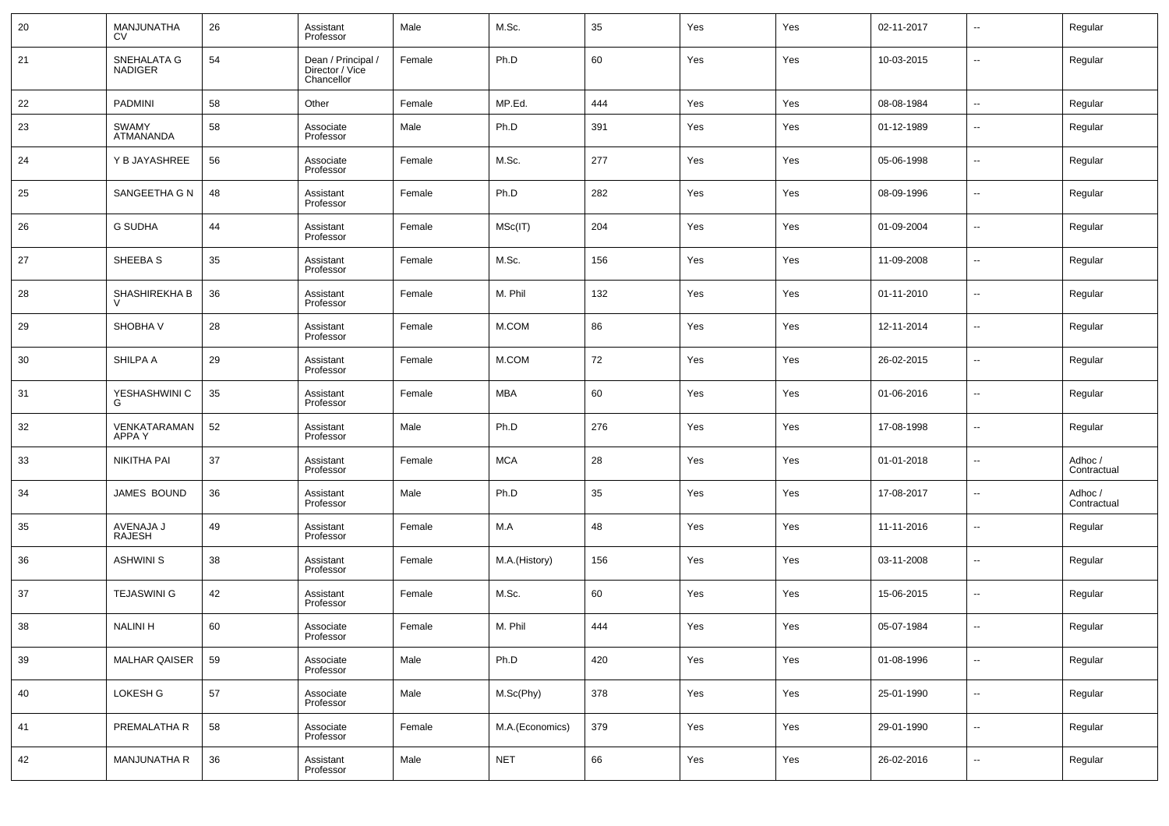| 20 | MANJUNATHA<br><b>CV</b>       | 26 | Assistant<br>Professor                              | Male   | M.Sc.           | 35  | Yes | Yes | 02-11-2017 | $\overline{\phantom{a}}$ | Regular                |
|----|-------------------------------|----|-----------------------------------------------------|--------|-----------------|-----|-----|-----|------------|--------------------------|------------------------|
| 21 | SNEHALATA G<br><b>NADIGER</b> | 54 | Dean / Principal /<br>Director / Vice<br>Chancellor | Female | Ph.D            | 60  | Yes | Yes | 10-03-2015 | $\overline{\phantom{a}}$ | Regular                |
| 22 | <b>PADMINI</b>                | 58 | Other                                               | Female | MP.Ed.          | 444 | Yes | Yes | 08-08-1984 | $\overline{\phantom{a}}$ | Regular                |
| 23 | <b>SWAMY</b><br>ATMANANDA     | 58 | Associate<br>Professor                              | Male   | Ph.D            | 391 | Yes | Yes | 01-12-1989 | $\overline{\phantom{a}}$ | Regular                |
| 24 | Y B JAYASHREE                 | 56 | Associate<br>Professor                              | Female | M.Sc.           | 277 | Yes | Yes | 05-06-1998 | $\overline{\phantom{a}}$ | Regular                |
| 25 | SANGEETHA G N                 | 48 | Assistant<br>Professor                              | Female | Ph.D            | 282 | Yes | Yes | 08-09-1996 | $\overline{\phantom{a}}$ | Regular                |
| 26 | <b>G SUDHA</b>                | 44 | Assistant<br>Professor                              | Female | MSc(IT)         | 204 | Yes | Yes | 01-09-2004 | $\overline{\phantom{a}}$ | Regular                |
| 27 | SHEEBA S                      | 35 | Assistant<br>Professor                              | Female | M.Sc.           | 156 | Yes | Yes | 11-09-2008 | $\overline{\phantom{a}}$ | Regular                |
| 28 | SHASHIREKHA B                 | 36 | Assistant<br>Professor                              | Female | M. Phil         | 132 | Yes | Yes | 01-11-2010 | $\overline{\phantom{a}}$ | Regular                |
| 29 | SHOBHA V                      | 28 | Assistant<br>Professor                              | Female | M.COM           | 86  | Yes | Yes | 12-11-2014 | $\overline{\phantom{a}}$ | Regular                |
| 30 | SHILPA A                      | 29 | Assistant<br>Professor                              | Female | M.COM           | 72  | Yes | Yes | 26-02-2015 | $\overline{\phantom{a}}$ | Regular                |
| 31 | YESHASHWINI C<br>G            | 35 | Assistant<br>Professor                              | Female | MBA             | 60  | Yes | Yes | 01-06-2016 | $\overline{\phantom{a}}$ | Regular                |
| 32 | VENKATARAMAN<br>APPA Y        | 52 | Assistant<br>Professor                              | Male   | Ph.D            | 276 | Yes | Yes | 17-08-1998 | $\overline{\phantom{a}}$ | Regular                |
| 33 | NIKITHA PAI                   | 37 | Assistant<br>Professor                              | Female | <b>MCA</b>      | 28  | Yes | Yes | 01-01-2018 | $\overline{\phantom{a}}$ | Adhoc /<br>Contractual |
| 34 | JAMES BOUND                   | 36 | Assistant<br>Professor                              | Male   | Ph.D            | 35  | Yes | Yes | 17-08-2017 | $\overline{\phantom{a}}$ | Adhoc /<br>Contractual |
| 35 | AVENAJA J<br><b>RAJESH</b>    | 49 | Assistant<br>Professor                              | Female | M.A             | 48  | Yes | Yes | 11-11-2016 | $\overline{\phantom{a}}$ | Regular                |
| 36 | <b>ASHWINI S</b>              | 38 | Assistant<br>Professor                              | Female | M.A.(History)   | 156 | Yes | Yes | 03-11-2008 | $\overline{\phantom{a}}$ | Regular                |
| 37 | <b>TEJASWINI G</b>            | 42 | Assistant<br>Professor                              | Female | M.Sc.           | 60  | Yes | Yes | 15-06-2015 | $\overline{\phantom{a}}$ | Regular                |
| 38 | <b>NALINI H</b>               | 60 | Associate<br>Professor                              | Female | M. Phil         | 444 | Yes | Yes | 05-07-1984 | --                       | Regular                |
| 39 | MALHAR QAISER                 | 59 | Associate<br>Professor                              | Male   | Ph.D            | 420 | Yes | Yes | 01-08-1996 | $\overline{\phantom{a}}$ | Regular                |
| 40 | LOKESH G                      | 57 | Associate<br>Professor                              | Male   | M.Sc(Phy)       | 378 | Yes | Yes | 25-01-1990 | $\overline{\phantom{a}}$ | Regular                |
| 41 | PREMALATHA R                  | 58 | Associate<br>Professor                              | Female | M.A.(Economics) | 379 | Yes | Yes | 29-01-1990 | $\overline{\phantom{a}}$ | Regular                |
| 42 | MANJUNATHA R                  | 36 | Assistant<br>Professor                              | Male   | <b>NET</b>      | 66  | Yes | Yes | 26-02-2016 | $\overline{\phantom{a}}$ | Regular                |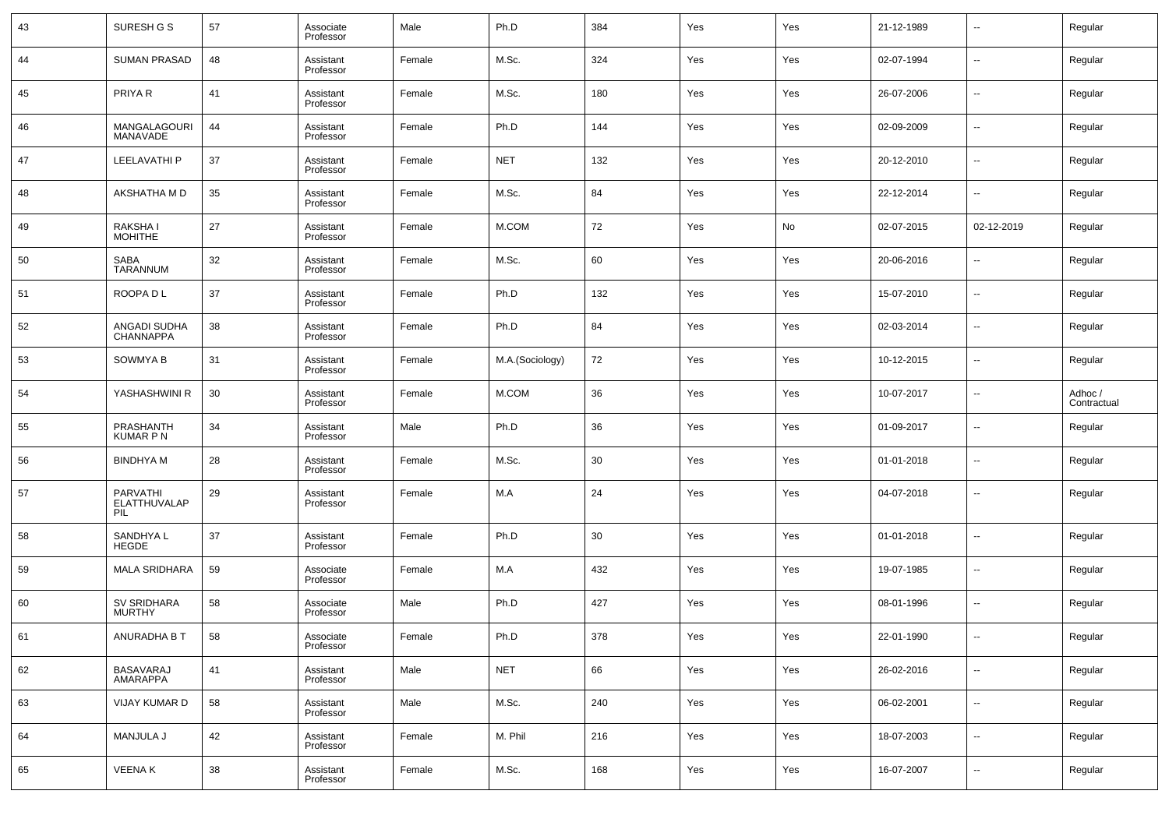| 43  | SURESH G S                      | 57     | Associate<br>Professor | Male   | Ph.D            | 384 | Yes | Yes | 21-12-1989 | --                       | Regular                |
|-----|---------------------------------|--------|------------------------|--------|-----------------|-----|-----|-----|------------|--------------------------|------------------------|
| 44  | <b>SUMAN PRASAD</b>             | 48     | Assistant<br>Professor | Female | M.Sc.           | 324 | Yes | Yes | 02-07-1994 | --                       | Regular                |
| 45  | PRIYA R                         | 41     | Assistant<br>Professor | Female | M.Sc.           | 180 | Yes | Yes | 26-07-2006 | --                       | Regular                |
| 46  | MANGALAGOURI<br>MANAVADE        | 44     | Assistant<br>Professor | Female | Ph.D            | 144 | Yes | Yes | 02-09-2009 | --                       | Regular                |
| 47  | LEELAVATHI P                    | 37     | Assistant<br>Professor | Female | <b>NET</b>      | 132 | Yes | Yes | 20-12-2010 | --                       | Regular                |
| 48  | AKSHATHA M D                    | 35     | Assistant<br>Professor | Female | M.Sc.           | 84  | Yes | Yes | 22-12-2014 | --                       | Regular                |
| 49  | RAKSHA I<br>MOHITHE             | 27     | Assistant<br>Professor | Female | M.COM           | 72  | Yes | No  | 02-07-2015 | 02-12-2019               | Regular                |
| 50  | <b>SABA</b><br><b>TARANNUM</b>  | 32     | Assistant<br>Professor | Female | M.Sc.           | 60  | Yes | Yes | 20-06-2016 | --                       | Regular                |
| -51 | ROOPA D L                       | 37     | Assistant<br>Professor | Female | Ph.D            | 132 | Yes | Yes | 15-07-2010 | --                       | Regular                |
| 52  | ANGADI SUDHA<br>CHANNAPPA       | 38     | Assistant<br>Professor | Female | Ph.D            | 84  | Yes | Yes | 02-03-2014 | --                       | Regular                |
| 53  | SOWMYA B                        | 31     | Assistant<br>Professor | Female | M.A.(Sociology) | 72  | Yes | Yes | 10-12-2015 | --                       | Regular                |
| 54  | YASHASHWINI R                   | 30     | Assistant<br>Professor | Female | M.COM           | 36  | Yes | Yes | 10-07-2017 | --                       | Adhoc /<br>Contractual |
| 55  | PRASHANTH<br><b>KUMAR P N</b>   | 34     | Assistant<br>Professor | Male   | Ph.D            | 36  | Yes | Yes | 01-09-2017 | --                       | Regular                |
| 56  | <b>BINDHYAM</b>                 | 28     | Assistant<br>Professor | Female | M.Sc.           | 30  | Yes | Yes | 01-01-2018 | --                       | Regular                |
| 57  | PARVATHI<br>ELATTHUVALAP<br>PIL | 29     | Assistant<br>Professor | Female | M.A             | 24  | Yes | Yes | 04-07-2018 | --                       | Regular                |
| 58  | SANDHYA L<br><b>HEGDE</b>       | 37     | Assistant<br>Professor | Female | Ph.D            | 30  | Yes | Yes | 01-01-2018 | --                       | Regular                |
| 59  | <b>MALA SRIDHARA</b>            | 59     | Associate<br>Professor | Female | M.A             | 432 | Yes | Yes | 19-07-1985 | $\overline{a}$           | Regular                |
| 60  | SV SRIDHARA<br>MURTHY           | 58     | Associate<br>Professor | Male   | Ph.D            | 427 | Yes | Yes | 08-01-1996 | --                       | Regular                |
| 61  | ANURADHA B T                    | 58     | Associate<br>Professor | Female | Ph.D            | 378 | Yes | Yes | 22-01-1990 |                          | Regular                |
| 62  | BASAVARAJ<br>AMARAPPA           | 41     | Assistant<br>Professor | Male   | <b>NET</b>      | 66  | Yes | Yes | 26-02-2016 | $\overline{\phantom{a}}$ | Regular                |
| 63  | VIJAY KUMAR D                   | 58     | Assistant<br>Professor | Male   | M.Sc.           | 240 | Yes | Yes | 06-02-2001 | $\overline{\phantom{a}}$ | Regular                |
| 64  | MANJULA J                       | 42     | Assistant<br>Professor | Female | M. Phil         | 216 | Yes | Yes | 18-07-2003 | $\overline{\phantom{a}}$ | Regular                |
| 65  | VEENA K                         | $38\,$ | Assistant<br>Professor | Female | M.Sc.           | 168 | Yes | Yes | 16-07-2007 | $\sim$                   | Regular                |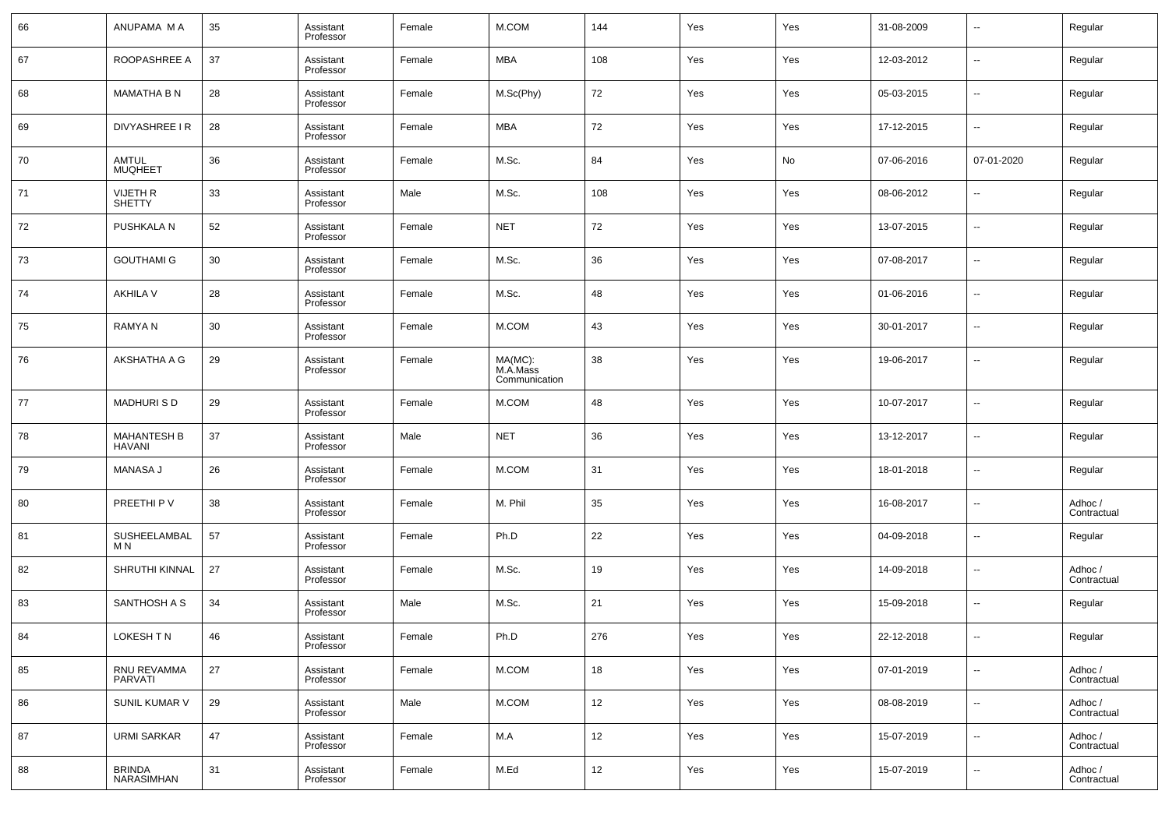| 66 | ANUPAMA M A                         | 35 | Assistant<br>Professor | Female | M.COM                                | 144 | Yes | Yes | 31-08-2009 | $\overline{\phantom{a}}$ | Regular                |
|----|-------------------------------------|----|------------------------|--------|--------------------------------------|-----|-----|-----|------------|--------------------------|------------------------|
| 67 | ROOPASHREE A                        | 37 | Assistant<br>Professor | Female | MBA                                  | 108 | Yes | Yes | 12-03-2012 | $\overline{\phantom{a}}$ | Regular                |
| 68 | <b>MAMATHA B N</b>                  | 28 | Assistant<br>Professor | Female | M.Sc(Phy)                            | 72  | Yes | Yes | 05-03-2015 | $\overline{\phantom{a}}$ | Regular                |
| 69 | DIVYASHREE I R                      | 28 | Assistant<br>Professor | Female | MBA                                  | 72  | Yes | Yes | 17-12-2015 | $\overline{\phantom{a}}$ | Regular                |
| 70 | <b>AMTUL</b><br><b>MUQHEET</b>      | 36 | Assistant<br>Professor | Female | M.Sc.                                | 84  | Yes | No  | 07-06-2016 | 07-01-2020               | Regular                |
| 71 | VIJETH R<br>SHETTY                  | 33 | Assistant<br>Professor | Male   | M.Sc.                                | 108 | Yes | Yes | 08-06-2012 | $\overline{\phantom{a}}$ | Regular                |
| 72 | PUSHKALA N                          | 52 | Assistant<br>Professor | Female | <b>NET</b>                           | 72  | Yes | Yes | 13-07-2015 | $\overline{\phantom{a}}$ | Regular                |
| 73 | <b>GOUTHAMI G</b>                   | 30 | Assistant<br>Professor | Female | M.Sc.                                | 36  | Yes | Yes | 07-08-2017 | $\overline{\phantom{a}}$ | Regular                |
| 74 | <b>AKHILA V</b>                     | 28 | Assistant<br>Professor | Female | M.Sc.                                | 48  | Yes | Yes | 01-06-2016 | $\overline{\phantom{a}}$ | Regular                |
| 75 | <b>RAMYAN</b>                       | 30 | Assistant<br>Professor | Female | M.COM                                | 43  | Yes | Yes | 30-01-2017 | $\overline{\phantom{a}}$ | Regular                |
| 76 | AKSHATHA A G                        | 29 | Assistant<br>Professor | Female | MA(MC):<br>M.A.Mass<br>Communication | 38  | Yes | Yes | 19-06-2017 | $\overline{\phantom{a}}$ | Regular                |
| 77 | <b>MADHURISD</b>                    | 29 | Assistant<br>Professor | Female | M.COM                                | 48  | Yes | Yes | 10-07-2017 | $\overline{\phantom{a}}$ | Regular                |
| 78 | <b>MAHANTESH B</b><br><b>HAVANI</b> | 37 | Assistant<br>Professor | Male   | <b>NET</b>                           | 36  | Yes | Yes | 13-12-2017 | $\overline{\phantom{a}}$ | Regular                |
| 79 | MANASA J                            | 26 | Assistant<br>Professor | Female | M.COM                                | 31  | Yes | Yes | 18-01-2018 | $\overline{\phantom{a}}$ | Regular                |
| 80 | PREETHI P V                         | 38 | Assistant<br>Professor | Female | M. Phil                              | 35  | Yes | Yes | 16-08-2017 | $\overline{\phantom{a}}$ | Adhoc /<br>Contractual |
| 81 | SUSHEELAMBAL<br>M N                 | 57 | Assistant<br>Professor | Female | Ph.D                                 | 22  | Yes | Yes | 04-09-2018 | $\sim$                   | Regular                |
| 82 | SHRUTHI KINNAL                      | 27 | Assistant<br>Professor | Female | M.Sc.                                | 19  | Yes | Yes | 14-09-2018 | $\overline{\phantom{a}}$ | Adhoc /<br>Contractual |
| 83 | SANTHOSH A S                        | 34 | Assistant<br>Professor | Male   | M.Sc.                                | 21  | Yes | Yes | 15-09-2018 | $\overline{\phantom{a}}$ | Regular                |
| 84 | LOKESH TN                           | 46 | Assistant<br>Professor | Female | Ph.D                                 | 276 | Yes | Yes | 22-12-2018 |                          | Regular                |
| 85 | RNU REVAMMA<br>PARVATI              | 27 | Assistant<br>Professor | Female | $M.$ COM                             | 18  | Yes | Yes | 07-01-2019 | $\overline{\phantom{a}}$ | Adhoc /<br>Contractual |
| 86 | SUNIL KUMAR V                       | 29 | Assistant<br>Professor | Male   | $M.$ COM                             | 12  | Yes | Yes | 08-08-2019 | $\overline{\phantom{a}}$ | Adhoc /<br>Contractual |
| 87 | <b>URMI SARKAR</b>                  | 47 | Assistant<br>Professor | Female | M.A                                  | 12  | Yes | Yes | 15-07-2019 | $\overline{\phantom{a}}$ | Adhoc /<br>Contractual |
| 88 | BRINDA<br>NARASIMHAN                | 31 | Assistant<br>Professor | Female | M.Ed                                 | 12  | Yes | Yes | 15-07-2019 | $\overline{\phantom{a}}$ | Adhoc /<br>Contractual |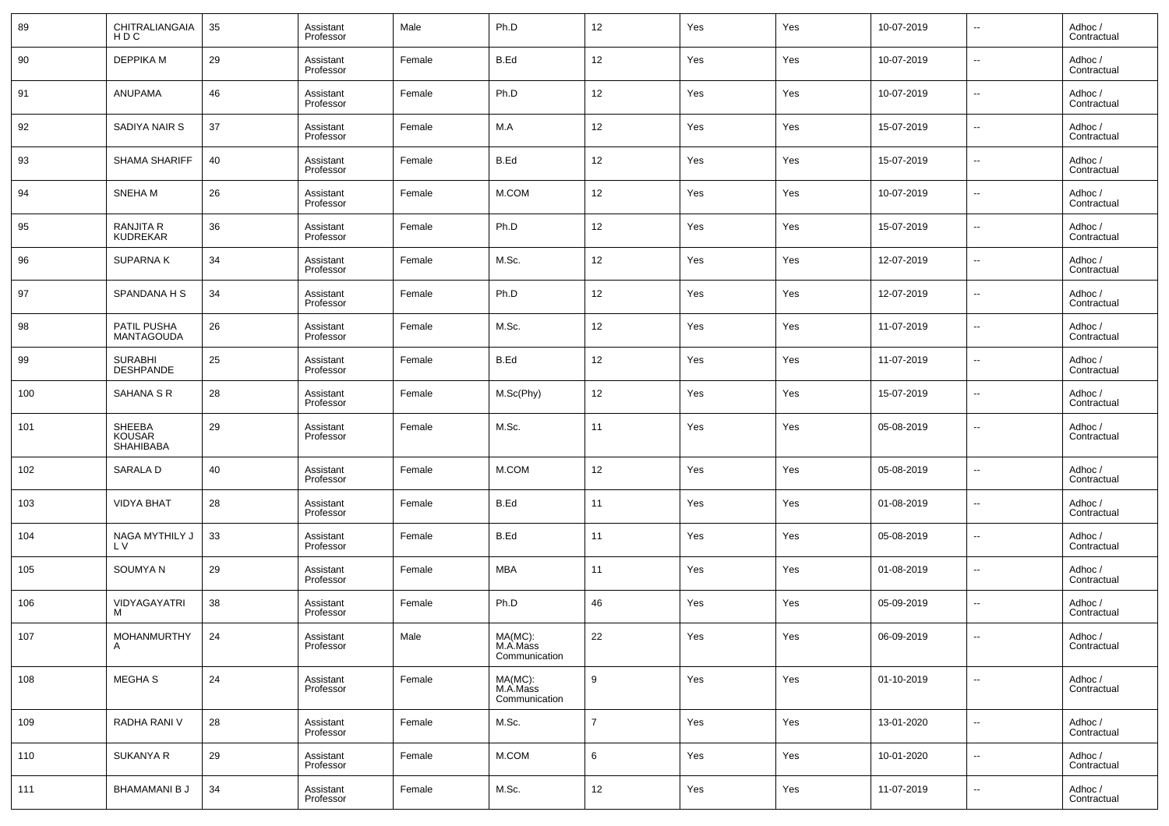| 89  | CHITRALIANGAIA<br>HDC            | 35 | Assistant<br>Professor | Male   | Ph.D                                 | 12             | Yes | Yes | 10-07-2019 | $\overline{\phantom{a}}$ | Adhoc /<br>Contractual |
|-----|----------------------------------|----|------------------------|--------|--------------------------------------|----------------|-----|-----|------------|--------------------------|------------------------|
| 90  | <b><i>DEPPIKA M</i></b>          | 29 | Assistant<br>Professor | Female | B.Ed                                 | 12             | Yes | Yes | 10-07-2019 | $\ddotsc$                | Adhoc /<br>Contractual |
| 91  | <b>ANUPAMA</b>                   | 46 | Assistant<br>Professor | Female | Ph.D                                 | 12             | Yes | Yes | 10-07-2019 | $\overline{\phantom{a}}$ | Adhoc /<br>Contractual |
| 92  | SADIYA NAIR S                    | 37 | Assistant<br>Professor | Female | M.A                                  | 12             | Yes | Yes | 15-07-2019 | ٠.                       | Adhoc /<br>Contractual |
| 93  | SHAMA SHARIFF                    | 40 | Assistant<br>Professor | Female | B.Ed                                 | 12             | Yes | Yes | 15-07-2019 | $\ddotsc$                | Adhoc /<br>Contractual |
| 94  | SNEHA M                          | 26 | Assistant<br>Professor | Female | M.COM                                | 12             | Yes | Yes | 10-07-2019 | ٠.                       | Adhoc /<br>Contractual |
| 95  | RANJITA R<br>KUDREKAR            | 36 | Assistant<br>Professor | Female | Ph.D                                 | 12             | Yes | Yes | 15-07-2019 | $\ddotsc$                | Adhoc /<br>Contractual |
| 96  | <b>SUPARNAK</b>                  | 34 | Assistant<br>Professor | Female | M.Sc.                                | 12             | Yes | Yes | 12-07-2019 | $\overline{\phantom{a}}$ | Adhoc /<br>Contractual |
| 97  | SPANDANA H S                     | 34 | Assistant<br>Professor | Female | Ph.D                                 | 12             | Yes | Yes | 12-07-2019 | $\ddotsc$                | Adhoc /<br>Contractual |
| 98  | PATIL PUSHA<br><b>MANTAGOUDA</b> | 26 | Assistant<br>Professor | Female | M.Sc.                                | 12             | Yes | Yes | 11-07-2019 | $\ddotsc$                | Adhoc /<br>Contractual |
| 99  | SURABHI<br>DESHPANDE             | 25 | Assistant<br>Professor | Female | B.Ed                                 | 12             | Yes | Yes | 11-07-2019 | $\ddotsc$                | Adhoc /<br>Contractual |
| 100 | SAHANA S R                       | 28 | Assistant<br>Professor | Female | M.Sc(Phy)                            | 12             | Yes | Yes | 15-07-2019 | $\ddotsc$                | Adhoc /<br>Contractual |
| 101 | SHEEBA<br>KOUSAR<br>SHAHIBABA    | 29 | Assistant<br>Professor | Female | M.Sc.                                | 11             | Yes | Yes | 05-08-2019 | $\overline{\phantom{a}}$ | Adhoc /<br>Contractual |
| 102 | <b>SARALAD</b>                   | 40 | Assistant<br>Professor | Female | M.COM                                | 12             | Yes | Yes | 05-08-2019 | $\overline{\phantom{a}}$ | Adhoc /<br>Contractual |
| 103 | <b>VIDYA BHAT</b>                | 28 | Assistant<br>Professor | Female | B.Ed                                 | 11             | Yes | Yes | 01-08-2019 | ٠.                       | Adhoc /<br>Contractual |
| 104 | NAGA MYTHILY J<br>L V            | 33 | Assistant<br>Professor | Female | B.Ed                                 | 11             | Yes | Yes | 05-08-2019 | $\overline{\phantom{a}}$ | Adhoc /<br>Contractual |
| 105 | <b>SOUMYAN</b>                   | 29 | Assistant<br>Professor | Female | <b>MBA</b>                           | 11             | Yes | Yes | 01-08-2019 | ٠.                       | Adhoc /<br>Contractual |
| 106 | VIDYAGAYATRI<br>м                | 38 | Assistant<br>Professor | Female | Ph.D                                 | 46             | Yes | Yes | 05-09-2019 | ٠.                       | Adhoc /<br>Contractual |
| 107 | MOHANMURTHY<br>A                 | 24 | Assistant<br>Professor | Male   | MA(MC):<br>M.A.Mass<br>Communication | $22\,$         | Yes | Yes | 06-09-2019 |                          | Adhoc /<br>Contractual |
| 108 | MEGHA S                          | 24 | Assistant<br>Professor | Female | MA(MC):<br>M.A.Mass<br>Communication | 9              | Yes | Yes | 01-10-2019 | $\overline{\phantom{a}}$ | Adhoc /<br>Contractual |
| 109 | RADHA RANI V                     | 28 | Assistant<br>Professor | Female | M.Sc.                                | $\overline{7}$ | Yes | Yes | 13-01-2020 | $\sim$                   | Adhoc /<br>Contractual |
| 110 | <b>SUKANYA R</b>                 | 29 | Assistant<br>Professor | Female | M.COM                                | 6              | Yes | Yes | 10-01-2020 | $\sim$                   | Adhoc /<br>Contractual |
| 111 | <b>BHAMAMANI B J</b>             | 34 | Assistant<br>Professor | Female | M.Sc.                                | 12             | Yes | Yes | 11-07-2019 | $\sim$                   | Adhoc /<br>Contractual |